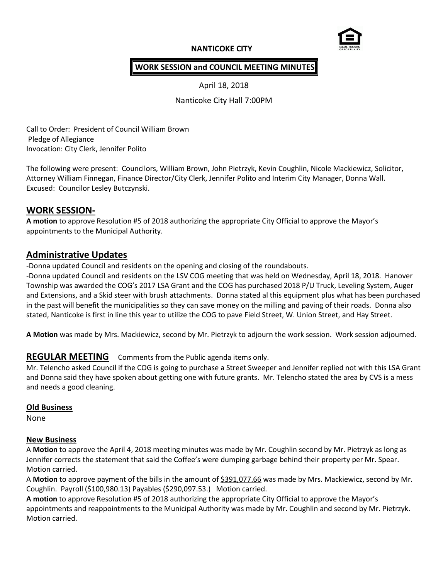# **NANTICOKE CITY**



## **WORK SESSION and COUNCIL MEETING MINUTES**

April 18, 2018

Nanticoke City Hall 7:00PM

Call to Order: President of Council William Brown Pledge of Allegiance Invocation: City Clerk, Jennifer Polito

The following were present: Councilors, William Brown, John Pietrzyk, Kevin Coughlin, Nicole Mackiewicz, Solicitor, Attorney William Finnegan, Finance Director/City Clerk, Jennifer Polito and Interim City Manager, Donna Wall. Excused: Councilor Lesley Butczynski.

## **WORK SESSION-**

**A motion** to approve Resolution #5 of 2018 authorizing the appropriate City Official to approve the Mayor's appointments to the Municipal Authority.

# **Administrative Updates**

-Donna updated Council and residents on the opening and closing of the roundabouts.

-Donna updated Council and residents on the LSV COG meeting that was held on Wednesday, April 18, 2018. Hanover Township was awarded the COG's 2017 LSA Grant and the COG has purchased 2018 P/U Truck, Leveling System, Auger and Extensions, and a Skid steer with brush attachments. Donna stated al this equipment plus what has been purchased in the past will benefit the municipalities so they can save money on the milling and paving of their roads. Donna also stated, Nanticoke is first in line this year to utilize the COG to pave Field Street, W. Union Street, and Hay Street.

**A Motion** was made by Mrs. Mackiewicz, second by Mr. Pietrzyk to adjourn the work session. Work session adjourned.

## **REGULAR MEETING** Comments from the Public agenda items only.

Mr. Telencho asked Council if the COG is going to purchase a Street Sweeper and Jennifer replied not with this LSA Grant and Donna said they have spoken about getting one with future grants. Mr. Telencho stated the area by CVS is a mess and needs a good cleaning.

#### **Old Business**

None

#### **New Business**

A **Motion** to approve the April 4, 2018 meeting minutes was made by Mr. Coughlin second by Mr. Pietrzyk as long as Jennifer corrects the statement that said the Coffee's were dumping garbage behind their property per Mr. Spear. Motion carried.

A **Motion** to approve payment of the bills in the amount of \$391,077.66 was made by Mrs. Mackiewicz, second by Mr. Coughlin. Payroll (\$100,980.13) Payables (\$290,097.53.) Motion carried.

**A motion** to approve Resolution #5 of 2018 authorizing the appropriate City Official to approve the Mayor's appointments and reappointments to the Municipal Authority was made by Mr. Coughlin and second by Mr. Pietrzyk. Motion carried.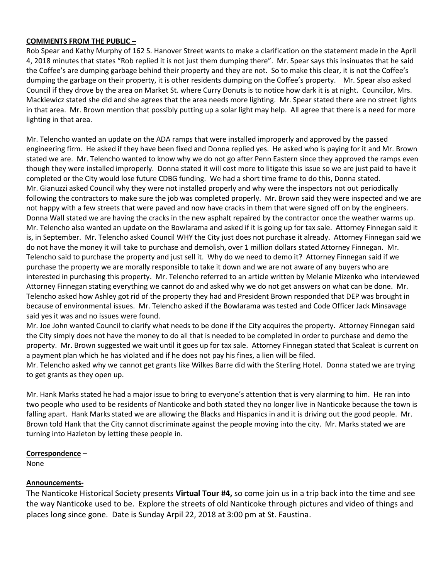#### **COMMENTS FROM THE PUBLIC –**

Rob Spear and Kathy Murphy of 162 S. Hanover Street wants to make a clarification on the statement made in the April 4, 2018 minutes that states "Rob replied it is not just them dumping there". Mr. Spear says this insinuates that he said the Coffee's are dumping garbage behind their property and they are not. So to make this clear, it is not the Coffee's dumping the garbage on their property, it is other residents dumping on the Coffee's property. Mr. Spear also asked Council if they drove by the area on Market St. where Curry Donuts is to notice how dark it is at night. Councilor, Mrs. Mackiewicz stated she did and she agrees that the area needs more lighting. Mr. Spear stated there are no street lights in that area. Mr. Brown mention that possibly putting up a solar light may help. All agree that there is a need for more lighting in that area.

Mr. Telencho wanted an update on the ADA ramps that were installed improperly and approved by the passed engineering firm. He asked if they have been fixed and Donna replied yes. He asked who is paying for it and Mr. Brown stated we are. Mr. Telencho wanted to know why we do not go after Penn Eastern since they approved the ramps even though they were installed improperly. Donna stated it will cost more to litigate this issue so we are just paid to have it completed or the City would lose future CDBG funding. We had a short time frame to do this, Donna stated. Mr. Gianuzzi asked Council why they were not installed properly and why were the inspectors not out periodically following the contractors to make sure the job was completed properly. Mr. Brown said they were inspected and we are not happy with a few streets that were paved and now have cracks in them that were signed off on by the engineers. Donna Wall stated we are having the cracks in the new asphalt repaired by the contractor once the weather warms up. Mr. Telencho also wanted an update on the Bowlarama and asked if it is going up for tax sale. Attorney Finnegan said it is, in September. Mr. Telencho asked Council WHY the City just does not purchase it already. Attorney Finnegan said we do not have the money it will take to purchase and demolish, over 1 million dollars stated Attorney Finnegan. Mr. Telencho said to purchase the property and just sell it. Why do we need to demo it? Attorney Finnegan said if we purchase the property we are morally responsible to take it down and we are not aware of any buyers who are interested in purchasing this property. Mr. Telencho referred to an article written by Melanie Mizenko who interviewed Attorney Finnegan stating everything we cannot do and asked why we do not get answers on what can be done. Mr. Telencho asked how Ashley got rid of the property they had and President Brown responded that DEP was brought in because of environmental issues. Mr. Telencho asked if the Bowlarama was tested and Code Officer Jack Minsavage said yes it was and no issues were found.

Mr. Joe John wanted Council to clarify what needs to be done if the City acquires the property. Attorney Finnegan said the City simply does not have the money to do all that is needed to be completed in order to purchase and demo the property. Mr. Brown suggested we wait until it goes up for tax sale. Attorney Finnegan stated that Scaleat is current on a payment plan which he has violated and if he does not pay his fines, a lien will be filed.

Mr. Telencho asked why we cannot get grants like Wilkes Barre did with the Sterling Hotel. Donna stated we are trying to get grants as they open up.

Mr. Hank Marks stated he had a major issue to bring to everyone's attention that is very alarming to him. He ran into two people who used to be residents of Nanticoke and both stated they no longer live in Nanticoke because the town is falling apart. Hank Marks stated we are allowing the Blacks and Hispanics in and it is driving out the good people. Mr. Brown told Hank that the City cannot discriminate against the people moving into the city. Mr. Marks stated we are turning into Hazleton by letting these people in.

#### **Correspondence** –

None

## **Announcements-**

The Nanticoke Historical Society presents **Virtual Tour #4,** so come join us in a trip back into the time and see the way Nanticoke used to be. Explore the streets of old Nanticoke through pictures and video of things and places long since gone. Date is Sunday Arpil 22, 2018 at 3:00 pm at St. Faustina.